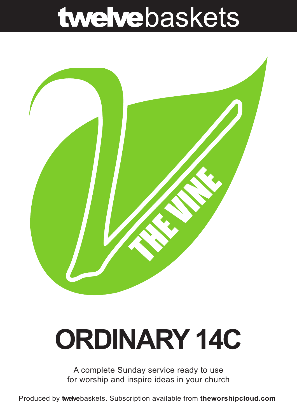## twelvebaskets



# **ORDINARY 14C**

A complete Sunday service ready to use for worship and inspire ideas in your church

Produced by **twelve**baskets. Subscription available from **theworshipcloud.com**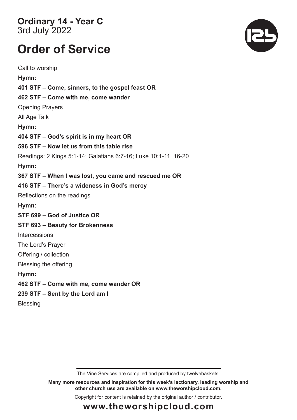**Ordinary 14 - Year C**  3rd July 2022

### **Order of Service**

Call to worship **Hymn: 401 STF – Come, sinners, to the gospel feast OR 462 STF – Come with me, come wander**  Opening Prayers All Age Talk **Hymn: 404 STF – God's spirit is in my heart OR 596 STF – Now let us from this table rise**  Readings: 2 Kings 5:1-14; Galatians 6:7-16; Luke 10:1-11, 16-20 **Hymn: 367 STF – When I was lost, you came and rescued me OR 416 STF – There's a wideness in God's mercy**  Reflections on the readings **Hymn: STF 699 – God of Justice OR STF 693 – Beauty for Brokenness**  Intercessions The Lord's Prayer Offering / collection Blessing the offering **Hymn: 462 STF – Come with me, come wander OR 239 STF – Sent by the Lord am I Blessing** 

The Vine Services are compiled and produced by twelvebaskets.

**Many more resources and inspiration for this week's lectionary, leading worship and other church use are available on www.theworshipcloud.com.**

Copyright for content is retained by the original author / contributor.



### **www.theworshipcloud.com**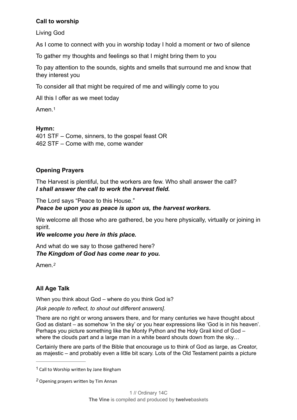#### **Call to worship**

Living God

As I come to connect with you in worship today I hold a moment or two of silence

To gather my thoughts and feelings so that I might bring them to you

To pay attention to the sounds, sights and smells that surround me and know that they interest you

To consider all that might be required of me and willingly come to you

All this I offer as we meet today

<span id="page-2-2"></span>Amen<sup>[1](#page-2-0)</sup>

#### **Hymn:**

401 STF – Come, sinners, to the gospel feast OR 462 STF – Come with me, come wander

#### **Opening Prayers**

The Harvest is plentiful, but the workers are few. Who shall answer the call? *I shall answer the call to work the harvest field.*

The Lord says "Peace to this House."

*Peace be upon you as peace is upon us, the harvest workers.*

We welcome all those who are gathered, be you here physically, virtually or joining in spirit.

*We welcome you here in this place.*

And what do we say to those gathered here? *The Kingdom of God has come near to you.*

<span id="page-2-3"></span>Amen.*[2](#page-2-1)*

#### **All Age Talk**

When you think about God – where do you think God is?

*[Ask people to reflect, to shout out different answers]*.

There are no right or wrong answers there, and for many centuries we have thought about God as distant – as somehow 'in the sky' or you hear expressions like 'God is in his heaven'. Perhaps you picture something like the Monty Python and the Holy Grail kind of God – where the clouds part and a large man in a white beard shouts down from the sky...

Certainly there are parts of the Bible that encourage us to think of God as large, as Creator, as majestic – and probably even a little bit scary. Lots of the Old Testament paints a picture

<span id="page-2-0"></span>[<sup>1</sup>](#page-2-2) Call to Worship written by Jane Bingham

<span id="page-2-1"></span>Opening prayers written by Tim Annan *[2](#page-2-3)*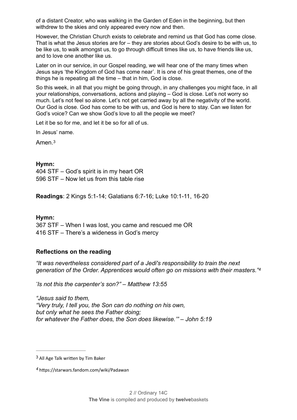of a distant Creator, who was walking in the Garden of Eden in the beginning, but then withdrew to the skies and only appeared every now and then.

However, the Christian Church exists to celebrate and remind us that God has come close. That is what the Jesus stories are for – they are stories about God's desire to be with us, to be like us, to walk amongst us, to go through difficult times like us, to have friends like us, and to love one another like us.

Later on in our service, in our Gospel reading, we will hear one of the many times when Jesus says 'the Kingdom of God has come near'. It is one of his great themes, one of the things he is repeating all the time – that in him, God is close.

So this week, in all that you might be going through, in any challenges you might face, in all your relationships, conversations, actions and playing – God is close. Let's not worry so much. Let's not feel so alone. Let's not get carried away by all the negativity of the world. Our God is close. God has come to be with us, and God is here to stay. Can we listen for God's voice? Can we show God's love to all the people we meet?

Let it be so for me, and let it be so for all of us.

In Jesus' name.

<span id="page-3-2"></span>Amen.[3](#page-3-0)

#### **Hymn:**

404 STF – God's spirit is in my heart OR 596 STF – Now let us from this table rise

**Readings**: 2 Kings 5:1-14; Galatians 6:7-16; Luke 10:1-11, 16-20

#### **Hymn:**

367 STF – When I was lost, you came and rescued me OR 416 STF – There's a wideness in God's mercy

#### **Reflections on the reading**

*"It was nevertheless considered part of a Jedi's responsibility to train the next generation of the Order. Apprentices would often go on missions with their masters.["4](#page-3-1)*

<span id="page-3-3"></span>*" Is not this the carpenter's son?" – Matthew 13:55*

*"Jesus said to them, "Very truly, I tell you, the Son can do nothing on his own, but only what he sees the Father doing; for whatever the Father does, the Son does likewise.'" – John 5:19*

<span id="page-3-0"></span> $3$  All Age Talk written by Tim Baker

<span id="page-3-1"></span>https://starwars.fandom.com/wiki/Padawan *[4](#page-3-3)*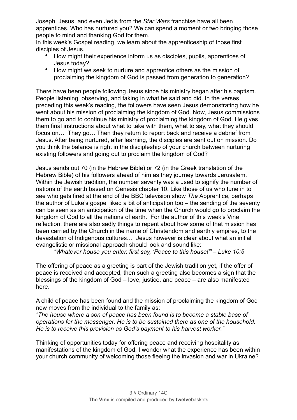Joseph, Jesus, and even Jedis from the *Star Wars* franchise have all been apprentices. Who has nurtured you? We can spend a moment or two bringing those people to mind and thanking God for them.

In this week's Gospel reading, we learn about the apprenticeship of those first disciples of Jesus.

- How might their experience inform us as disciples, pupils, apprentices of Jesus today?
- How might we seek to nurture and apprentice others as the mission of proclaiming the kingdom of God is passed from generation to generation?

There have been people following Jesus since his ministry began after his baptism. People listening, observing, and taking in what he said and did. In the verses preceding this week's reading, the followers have seen Jesus demonstrating how he went about his mission of proclaiming the kingdom of God. Now, Jesus commissions them to go and to continue his ministry of proclaiming the kingdom of God. He gives them final instructions about what to take with them, what to say, what they should focus on… They go… Then they return to report back and receive a debrief from Jesus. After being nurtured, after learning, the disciples are sent out on mission. Do you think the balance is right in the discipleship of your church between nurturing existing followers and going out to proclaim the kingdom of God?

Jesus sends out 70 (in the Hebrew Bible) or 72 (in the Greek translation of the Hebrew Bible) of his followers ahead of him as they journey towards Jerusalem. Within the Jewish tradition, the number seventy was a used to signify the number of nations of the earth based on Genesis chapter 10. Like those of us who tune in to see who gets fired at the end of the BBC television show *The* Apprentice, perhaps the author of Luke's gospel liked a bit of anticipation too – the sending of the seventy can be seen as an anticipation of the time when the Church would go to proclaim the kingdom of God to all the nations of earth. For the author of this week's Vine reflection, there are also sadly things to repent about how some of that mission has been carried by the Church in the name of Christendom and earthly empires, to the devastation of Indigenous cultures… Jesus however is clear about what an initial evangelistic or missional approach should look and sound like:

*"Whatever house you enter, first say, 'Peace to this house!"' – Luke 10:5*

The offering of peace as a greeting is part of the Jewish tradition yet, if the offer of peace is received and accepted, then such a greeting also becomes a sign that the blessings of the kingdom of God – love, justice, and peace – are also manifested here.

A child of peace has been found and the mission of proclaiming the kingdom of God now moves from the individual to the family as:

*"The house where a son of peace has been found is to become a stable base of operations for the messenger. He is to be sustained there as one of the household. He is to receive this provision as God's payment to his harvest worker."*

Thinking of opportunities today for offering peace and receiving hospitality as manifestations of the kingdom of God, I wonder what the experience has been within your church community of welcoming those fleeing the invasion and war in Ukraine?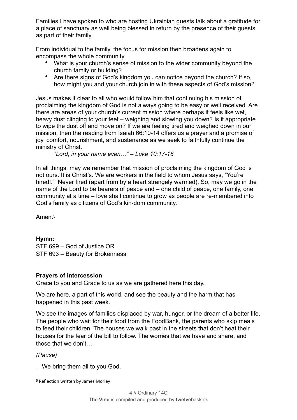Families I have spoken to who are hosting Ukrainian guests talk about a gratitude for a place of sanctuary as well being blessed in return by the presence of their guests as part of their family.

From individual to the family, the focus for mission then broadens again to encompass the whole community.

- What is your church's sense of mission to the wider community beyond the church family or building?
- Are there signs of God's kingdom you can notice beyond the church? If so, how might you and your church join in with these aspects of God's mission?

Jesus makes it clear to all who would follow him that continuing his mission of proclaiming the kingdom of God is not always going to be easy or well received. Are there are areas of your church's current mission where perhaps it feels like wet, heavy dust clinging to your feet – weighing and slowing you down? Is it appropriate to wipe the dust off and move on? If we are feeling tired and weighed down in our mission, then the reading from Isaiah 66:10-14 offers us a prayer and a promise of joy, comfort, nourishment, and sustenance as we seek to faithfully continue the ministry of Christ.

*"Lord, in your name even…" – Luke 10:17-18*

In all things, may we remember that mission of proclaiming the kingdom of God is not ours. It is Christ's. We are workers in the field to whom Jesus says, "You're hired!." Never fired (apart from by a heart strangely warmed). So, may we go in the name of the Lord to be bearers of peace and – one child of peace, one family, one community at a time – love shall continue to grow as people are re-membered into God's family as citizens of God's kin-dom community.

<span id="page-5-1"></span>Amen.[5](#page-5-0)

**Hymn:**

STF 699 – God of Justice OR STF 693 – Beauty for Brokenness

#### **Prayers of intercession**

Grace to you and Grace to us as we are gathered here this day.

We are here, a part of this world, and see the beauty and the harm that has happened in this past week.

We see the images of families displaced by war, hunger, or the dream of a better life. The people who wait for their food from the FoodBank, the parents who skip meals to feed their children. The houses we walk past in the streets that don't heat their houses for the fear of the bill to follow. The worries that we have and share, and those that we don't…

#### *(Pause)*

…We bring them all to you God.

<span id="page-5-0"></span><sup>&</sup>lt;sup>[5](#page-5-1)</sup> Reflection written by James Morley